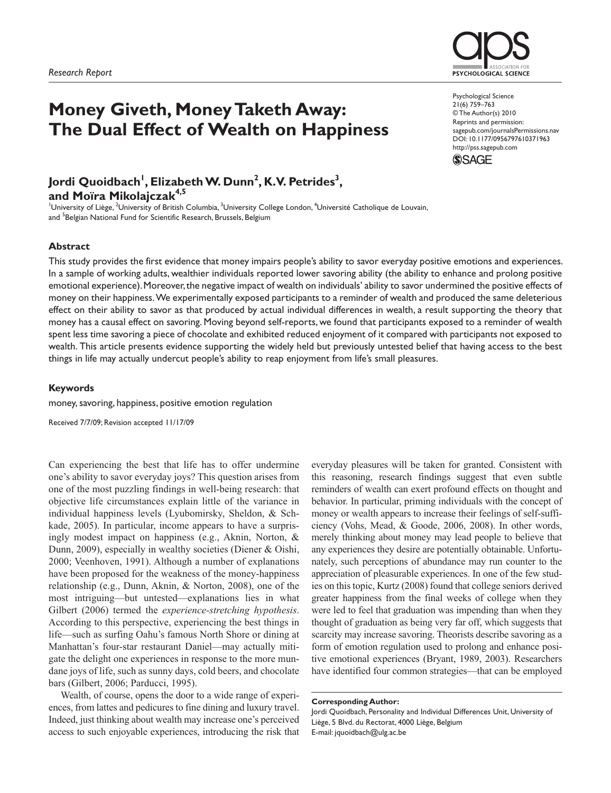# **Money Giveth, Money Taketh Away: The Dual Effect of Wealth on Happiness**

# Jordi Quoidbach<sup>'</sup>, Elizabeth W. Dunn<sup>2</sup>, K.V. Petrides<sup>3</sup>, **and Moïra Mikolajczak4,5**

<sup>1</sup>University of Liège, <sup>2</sup>University of British Columbia, <sup>3</sup>University College London, <sup>4</sup>Université Catholique de Louvain, and <sup>5</sup>Belgian National Fund for Scientific Research, Brussels, Belgium

## **Abstract**

This study provides the first evidence that money impairs people's ability to savor everyday positive emotions and experiences. In a sample of working adults, wealthier individuals reported lower savoring ability (the ability to enhance and prolong positive emotional experience). Moreover, the negative impact of wealth on individuals' ability to savor undermined the positive effects of money on their happiness. We experimentally exposed participants to a reminder of wealth and produced the same deleterious effect on their ability to savor as that produced by actual individual differences in wealth, a result supporting the theory that money has a causal effect on savoring. Moving beyond self-reports, we found that participants exposed to a reminder of wealth spent less time savoring a piece of chocolate and exhibited reduced enjoyment of it compared with participants not exposed to wealth. This article presents evidence supporting the widely held but previously untested belief that having access to the best things in life may actually undercut people's ability to reap enjoyment from life's small pleasures.

### **Keywords**

money, savoring, happiness, positive emotion regulation

Received 7/7/09; Revision accepted 11/17/09

Can experiencing the best that life has to offer undermine one's ability to savor everyday joys? This question arises from one of the most puzzling findings in well-being research: that objective life circumstances explain little of the variance in individual happiness levels (Lyubomirsky, Sheldon, & Schkade, 2005). In particular, income appears to have a surprisingly modest impact on happiness (e.g., Aknin, Norton, & Dunn, 2009), especially in wealthy societies (Diener & Oishi, 2000; Veenhoven, 1991). Although a number of explanations have been proposed for the weakness of the money-happiness relationship (e.g., Dunn, Aknin, & Norton, 2008), one of the most intriguing—but untested—explanations lies in what Gilbert (2006) termed the *experience-stretching hypothesis*. According to this perspective, experiencing the best things in life—such as surfing Oahu's famous North Shore or dining at Manhattan's four-star restaurant Daniel—may actually mitigate the delight one experiences in response to the more mundane joys of life, such as sunny days, cold beers, and chocolate bars (Gilbert, 2006; Parducci, 1995).

Wealth, of course, opens the door to a wide range of experiences, from lattes and pedicures to fine dining and luxury travel. Indeed, just thinking about wealth may increase one's perceived access to such enjoyable experiences, introducing the risk that everyday pleasures will be taken for granted. Consistent with this reasoning, research findings suggest that even subtle reminders of wealth can exert profound effects on thought and behavior. In particular, priming individuals with the concept of money or wealth appears to increase their feelings of self-sufficiency (Vohs, Mead, & Goode, 2006, 2008). In other words, merely thinking about money may lead people to believe that any experiences they desire are potentially obtainable. Unfortunately, such perceptions of abundance may run counter to the appreciation of pleasurable experiences. In one of the few studies on this topic, Kurtz (2008) found that college seniors derived greater happiness from the final weeks of college when they were led to feel that graduation was impending than when they thought of graduation as being very far off, which suggests that scarcity may increase savoring. Theorists describe savoring as a form of emotion regulation used to prolong and enhance positive emotional experiences (Bryant, 1989, 2003). Researchers have identified four common strategies—that can be employed

#### **Corresponding Author:**

Jordi Quoidbach, Personality and Individual Differences Unit, University of Liège, 5 Blvd. du Rectorat, 4000 Liège, Belgium E-mail: jquoidbach@ulg.ac.be



Psychological Science 21(6) 759–763 © The Author(s) 2010 Reprints and permission: sagepub.com/journalsPermissions.nav DOI: 10.1177/0956797610371963 http://pss.sagepub.com

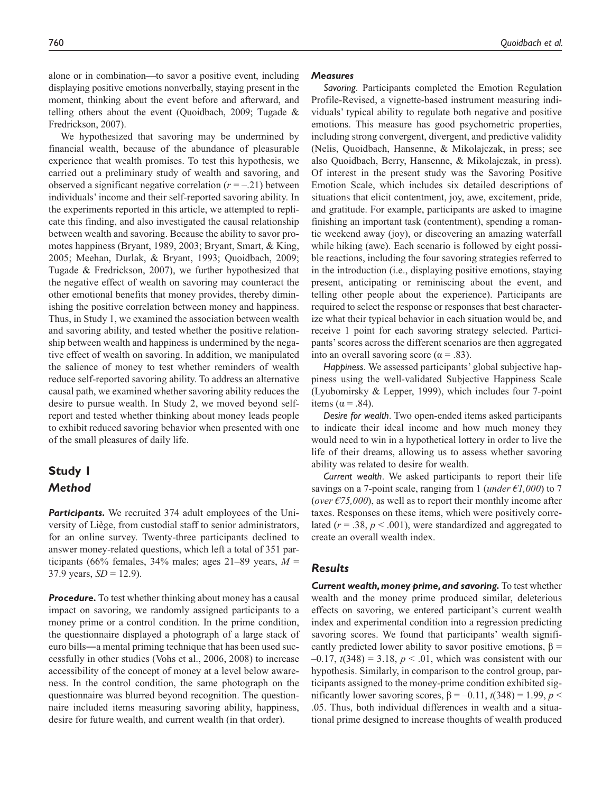alone or in combination—to savor a positive event, including displaying positive emotions nonverbally, staying present in the moment, thinking about the event before and afterward, and telling others about the event (Quoidbach, 2009; Tugade & Fredrickson, 2007).

We hypothesized that savoring may be undermined by financial wealth, because of the abundance of pleasurable experience that wealth promises. To test this hypothesis, we carried out a preliminary study of wealth and savoring, and observed a significant negative correlation  $(r = -.21)$  between individuals' income and their self-reported savoring ability. In the experiments reported in this article, we attempted to replicate this finding, and also investigated the causal relationship between wealth and savoring. Because the ability to savor promotes happiness (Bryant, 1989, 2003; Bryant, Smart, & King, 2005; Meehan, Durlak, & Bryant, 1993; Quoidbach, 2009; Tugade & Fredrickson, 2007), we further hypothesized that the negative effect of wealth on savoring may counteract the other emotional benefits that money provides, thereby diminishing the positive correlation between money and happiness. Thus, in Study 1, we examined the association between wealth and savoring ability, and tested whether the positive relationship between wealth and happiness is undermined by the negative effect of wealth on savoring. In addition, we manipulated the salience of money to test whether reminders of wealth reduce self-reported savoring ability. To address an alternative causal path, we examined whether savoring ability reduces the desire to pursue wealth. In Study 2, we moved beyond selfreport and tested whether thinking about money leads people to exhibit reduced savoring behavior when presented with one of the small pleasures of daily life.

# **Study 1** *Method*

Participants. We recruited 374 adult employees of the University of Liège, from custodial staff to senior administrators, for an online survey. Twenty-three participants declined to answer money-related questions, which left a total of 351 participants (66% females, 34% males; ages 21–89 years,  $M =$ 37.9 years,  $SD = 12.9$ ).

**Procedure.** To test whether thinking about money has a causal impact on savoring, we randomly assigned participants to a money prime or a control condition. In the prime condition, the questionnaire displayed a photograph of a large stack of euro bills―a mental priming technique that has been used successfully in other studies (Vohs et al., 2006, 2008) to increase accessibility of the concept of money at a level below awareness. In the control condition, the same photograph on the questionnaire was blurred beyond recognition. The questionnaire included items measuring savoring ability, happiness, desire for future wealth, and current wealth (in that order).

### *Measures*

*Savoring*. Participants completed the Emotion Regulation Profile-Revised, a vignette-based instrument measuring individuals' typical ability to regulate both negative and positive emotions. This measure has good psychometric properties, including strong convergent, divergent, and predictive validity (Nelis, Quoidbach, Hansenne, & Mikolajczak, in press; see also Quoidbach, Berry, Hansenne, & Mikolajczak, in press). Of interest in the present study was the Savoring Positive Emotion Scale, which includes six detailed descriptions of situations that elicit contentment, joy, awe, excitement, pride, and gratitude. For example, participants are asked to imagine finishing an important task (contentment), spending a romantic weekend away (joy), or discovering an amazing waterfall while hiking (awe). Each scenario is followed by eight possible reactions, including the four savoring strategies referred to in the introduction (i.e., displaying positive emotions, staying present, anticipating or reminiscing about the event, and telling other people about the experience). Participants are required to select the response or responses that best characterize what their typical behavior in each situation would be, and receive 1 point for each savoring strategy selected. Participants' scores across the different scenarios are then aggregated into an overall savoring score ( $\alpha$  = .83).

*Happiness*. We assessed participants' global subjective happiness using the well-validated Subjective Happiness Scale (Lyubomirsky & Lepper, 1999), which includes four 7-point items ( $α = .84$ ).

*Desire for wealth*. Two open-ended items asked participants to indicate their ideal income and how much money they would need to win in a hypothetical lottery in order to live the life of their dreams, allowing us to assess whether savoring ability was related to desire for wealth.

*Current wealth*. We asked participants to report their life savings on a 7-point scale, ranging from 1 (*under €1,000*) to 7 (*over*  $\epsilon$ *75,000*), as well as to report their monthly income after taxes. Responses on these items, which were positively correlated ( $r = .38$ ,  $p < .001$ ), were standardized and aggregated to create an overall wealth index.

## *Results*

*Current wealth, money prime, and savoring.* To test whether wealth and the money prime produced similar, deleterious effects on savoring, we entered participant's current wealth index and experimental condition into a regression predicting savoring scores. We found that participants' wealth significantly predicted lower ability to savor positive emotions,  $\beta$  =  $-0.17$ ,  $t(348) = 3.18$ ,  $p < 0.01$ , which was consistent with our hypothesis. Similarly, in comparison to the control group, participants assigned to the money-prime condition exhibited significantly lower savoring scores,  $β = -0.11$ ,  $t(348) = 1.99$ ,  $p <$ .05. Thus, both individual differences in wealth and a situational prime designed to increase thoughts of wealth produced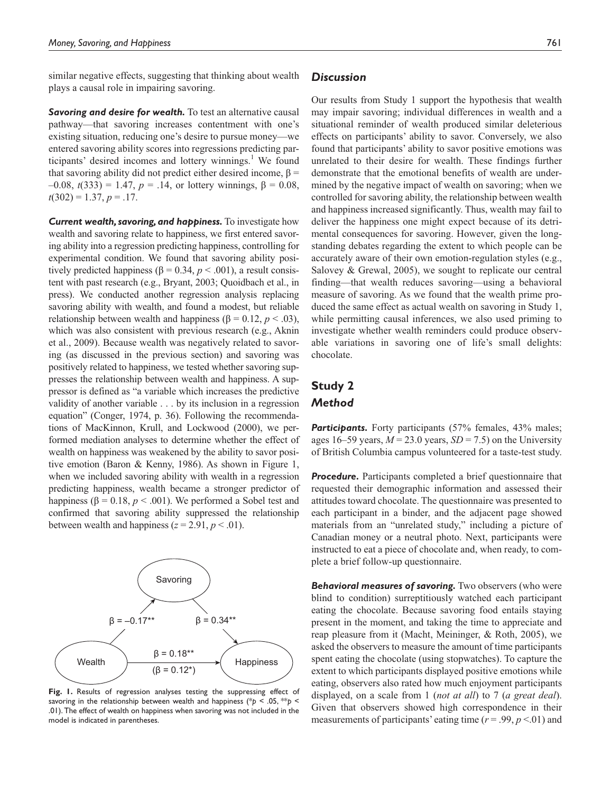similar negative effects, suggesting that thinking about wealth plays a causal role in impairing savoring.

**Savoring and desire for wealth.** To test an alternative causal pathway—that savoring increases contentment with one's existing situation, reducing one's desire to pursue money—we entered savoring ability scores into regressions predicting participants' desired incomes and lottery winnings.<sup>1</sup> We found that savoring ability did not predict either desired income,  $β =$ –0.08, *t*(333) = 1.47, *p* = .14, or lottery winnings, β = 0.08,  $t(302) = 1.37, p = .17.$ 

*Current wealth, savoring, and happiness.* To investigate how wealth and savoring relate to happiness, we first entered savoring ability into a regression predicting happiness, controlling for experimental condition. We found that savoring ability positively predicted happiness ( $\beta$  = 0.34,  $p$  < .001), a result consistent with past research (e.g., Bryant, 2003; Quoidbach et al., in press). We conducted another regression analysis replacing savoring ability with wealth, and found a modest, but reliable relationship between wealth and happiness (β = 0.12,  $p$  < .03), which was also consistent with previous research (e.g., Aknin et al., 2009). Because wealth was negatively related to savoring (as discussed in the previous section) and savoring was positively related to happiness, we tested whether savoring suppresses the relationship between wealth and happiness. A suppressor is defined as "a variable which increases the predictive validity of another variable . . . by its inclusion in a regression equation" (Conger, 1974, p. 36). Following the recommendations of MacKinnon, Krull, and Lockwood (2000), we performed mediation analyses to determine whether the effect of wealth on happiness was weakened by the ability to savor positive emotion (Baron & Kenny, 1986). As shown in Figure 1, when we included savoring ability with wealth in a regression predicting happiness, wealth became a stronger predictor of happiness ( $\beta$  = 0.18,  $p$  < .001). We performed a Sobel test and confirmed that savoring ability suppressed the relationship between wealth and happiness  $(z = 2.91, p < .01)$ .



**Fig. 1.** Results of regression analyses testing the suppressing effect of savoring in the relationship between wealth and happiness (\**p* < .05, \*\**p* < .01). The effect of wealth on happiness when savoring was not included in the model is indicated in parentheses.

# *Discussion*

Our results from Study 1 support the hypothesis that wealth may impair savoring; individual differences in wealth and a situational reminder of wealth produced similar deleterious effects on participants' ability to savor. Conversely, we also found that participants' ability to savor positive emotions was unrelated to their desire for wealth. These findings further demonstrate that the emotional benefits of wealth are undermined by the negative impact of wealth on savoring; when we controlled for savoring ability, the relationship between wealth and happiness increased significantly. Thus, wealth may fail to deliver the happiness one might expect because of its detrimental consequences for savoring. However, given the longstanding debates regarding the extent to which people can be accurately aware of their own emotion-regulation styles (e.g., Salovey & Grewal, 2005), we sought to replicate our central finding—that wealth reduces savoring—using a behavioral measure of savoring. As we found that the wealth prime produced the same effect as actual wealth on savoring in Study 1, while permitting causal inferences, we also used priming to investigate whether wealth reminders could produce observable variations in savoring one of life's small delights: chocolate.

# **Study 2** *Method*

**Participants.** Forty participants (57% females, 43% males; ages 16–59 years,  $M = 23.0$  years,  $SD = 7.5$ ) on the University of British Columbia campus volunteered for a taste-test study.

*Procedure.* Participants completed a brief questionnaire that requested their demographic information and assessed their attitudes toward chocolate. The questionnaire was presented to each participant in a binder, and the adjacent page showed materials from an "unrelated study," including a picture of Canadian money or a neutral photo. Next, participants were instructed to eat a piece of chocolate and, when ready, to complete a brief follow-up questionnaire.

*Behavioral measures of savoring.* Two observers (who were blind to condition) surreptitiously watched each participant eating the chocolate. Because savoring food entails staying present in the moment, and taking the time to appreciate and reap pleasure from it (Macht, Meininger, & Roth, 2005), we asked the observers to measure the amount of time participants spent eating the chocolate (using stopwatches). To capture the extent to which participants displayed positive emotions while eating, observers also rated how much enjoyment participants displayed, on a scale from 1 (*not at all*) to 7 (*a great deal*). Given that observers showed high correspondence in their measurements of participants' eating time  $(r = .99, p < .01)$  and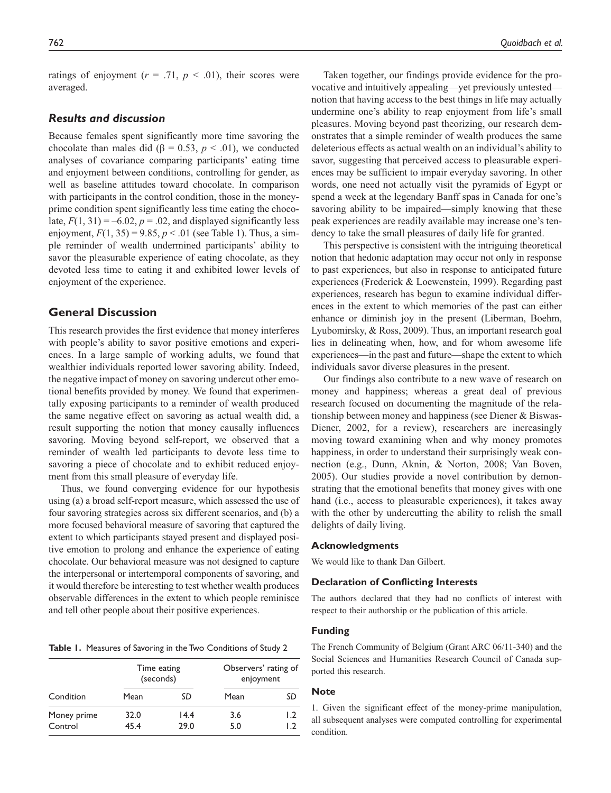ratings of enjoyment  $(r = .71, p < .01)$ , their scores were averaged.

# *Results and discussion*

Because females spent significantly more time savoring the chocolate than males did ( $\beta = 0.53$ ,  $p < .01$ ), we conducted analyses of covariance comparing participants' eating time and enjoyment between conditions, controlling for gender, as well as baseline attitudes toward chocolate. In comparison with participants in the control condition, those in the moneyprime condition spent significantly less time eating the chocolate,  $F(1, 31) = -6.02$ ,  $p = .02$ , and displayed significantly less enjoyment,  $F(1, 35) = 9.85$ ,  $p < .01$  (see Table 1). Thus, a simple reminder of wealth undermined participants' ability to savor the pleasurable experience of eating chocolate, as they devoted less time to eating it and exhibited lower levels of enjoyment of the experience.

# **General Discussion**

This research provides the first evidence that money interferes with people's ability to savor positive emotions and experiences. In a large sample of working adults, we found that wealthier individuals reported lower savoring ability. Indeed, the negative impact of money on savoring undercut other emotional benefits provided by money. We found that experimentally exposing participants to a reminder of wealth produced the same negative effect on savoring as actual wealth did, a result supporting the notion that money causally influences savoring. Moving beyond self-report, we observed that a reminder of wealth led participants to devote less time to savoring a piece of chocolate and to exhibit reduced enjoyment from this small pleasure of everyday life.

Thus, we found converging evidence for our hypothesis using (a) a broad self-report measure, which assessed the use of four savoring strategies across six different scenarios, and (b) a more focused behavioral measure of savoring that captured the extent to which participants stayed present and displayed positive emotion to prolong and enhance the experience of eating chocolate. Our behavioral measure was not designed to capture the interpersonal or intertemporal components of savoring, and it would therefore be interesting to test whether wealth produces observable differences in the extent to which people reminisce and tell other people about their positive experiences.

**Table 1.** Measures of Savoring in the Two Conditions of Study 2

| Condition              | Time eating<br>(seconds) |              | Observers' rating of<br>enjoyment |           |
|------------------------|--------------------------|--------------|-----------------------------------|-----------|
|                        | Mean                     | SD           | Mean                              | SD        |
| Money prime<br>Control | 32.0<br>45.4             | 14.4<br>29.0 | 3.6<br>5.0                        | 1.2<br>12 |

Taken together, our findings provide evidence for the provocative and intuitively appealing—yet previously untested notion that having access to the best things in life may actually undermine one's ability to reap enjoyment from life's small pleasures. Moving beyond past theorizing, our research demonstrates that a simple reminder of wealth produces the same deleterious effects as actual wealth on an individual's ability to savor, suggesting that perceived access to pleasurable experiences may be sufficient to impair everyday savoring. In other words, one need not actually visit the pyramids of Egypt or spend a week at the legendary Banff spas in Canada for one's savoring ability to be impaired—simply knowing that these peak experiences are readily available may increase one's tendency to take the small pleasures of daily life for granted.

This perspective is consistent with the intriguing theoretical notion that hedonic adaptation may occur not only in response to past experiences, but also in response to anticipated future experiences (Frederick & Loewenstein, 1999). Regarding past experiences, research has begun to examine individual differences in the extent to which memories of the past can either enhance or diminish joy in the present (Liberman, Boehm, Lyubomirsky, & Ross, 2009). Thus, an important research goal lies in delineating when, how, and for whom awesome life experiences—in the past and future—shape the extent to which individuals savor diverse pleasures in the present.

Our findings also contribute to a new wave of research on money and happiness; whereas a great deal of previous research focused on documenting the magnitude of the relationship between money and happiness (see Diener & Biswas-Diener, 2002, for a review), researchers are increasingly moving toward examining when and why money promotes happiness, in order to understand their surprisingly weak connection (e.g., Dunn, Aknin, & Norton, 2008; Van Boven, 2005). Our studies provide a novel contribution by demonstrating that the emotional benefits that money gives with one hand (i.e., access to pleasurable experiences), it takes away with the other by undercutting the ability to relish the small delights of daily living.

#### **Acknowledgments**

We would like to thank Dan Gilbert.

### **Declaration of Conflicting Interests**

The authors declared that they had no conflicts of interest with respect to their authorship or the publication of this article.

### **Funding**

The French Community of Belgium (Grant ARC 06/11-340) and the Social Sciences and Humanities Research Council of Canada supported this research.

### **Note**

1. Given the significant effect of the money-prime manipulation, all subsequent analyses were computed controlling for experimental condition.